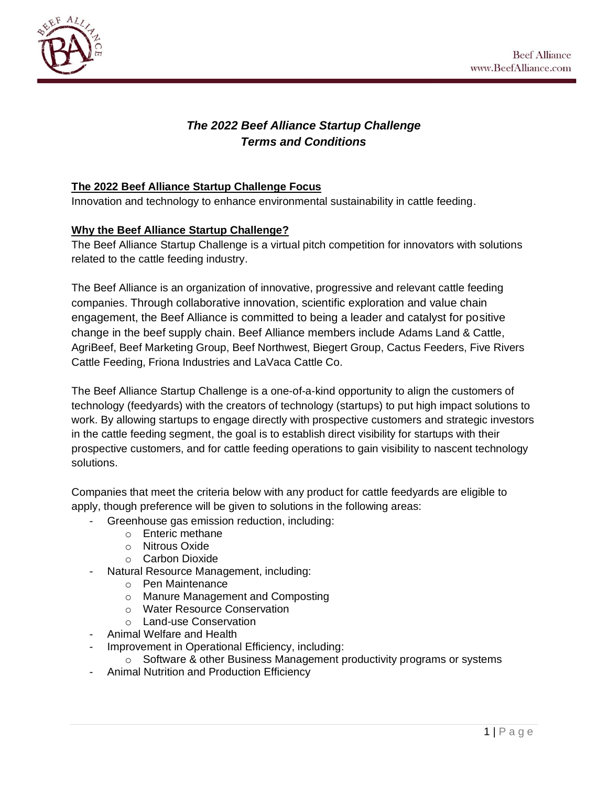



# *The 2022 Beef Alliance Startup Challenge Terms and Conditions*

### **The 2022 Beef Alliance Startup Challenge Focus**

Innovation and technology to enhance environmental sustainability in cattle feeding.

#### **Why the Beef Alliance Startup Challenge?**

The Beef Alliance Startup Challenge is a virtual pitch competition for innovators with solutions related to the cattle feeding industry.

The Beef Alliance is an organization of innovative, progressive and relevant cattle feeding companies. Through collaborative innovation, scientific exploration and value chain engagement, the Beef Alliance is committed to being a leader and catalyst for positive change in the beef supply chain. Beef Alliance members include Adams Land & Cattle, AgriBeef, Beef Marketing Group, Beef Northwest, Biegert Group, Cactus Feeders, Five Rivers Cattle Feeding, Friona Industries and LaVaca Cattle Co.

The Beef Alliance Startup Challenge is a one-of-a-kind opportunity to align the customers of technology (feedyards) with the creators of technology (startups) to put high impact solutions to work. By allowing startups to engage directly with prospective customers and strategic investors in the cattle feeding segment, the goal is to establish direct visibility for startups with their prospective customers, and for cattle feeding operations to gain visibility to nascent technology solutions.

Companies that meet the criteria below with any product for cattle feedyards are eligible to apply, though preference will be given to solutions in the following areas:

- Greenhouse gas emission reduction, including:
	- o Enteric methane
	- o Nitrous Oxide
	- o Carbon Dioxide
- Natural Resource Management, including:
	- o Pen Maintenance
	- o Manure Management and Composting
	- o Water Resource Conservation
	- o Land-use Conservation
- Animal Welfare and Health
- Improvement in Operational Efficiency, including:
	- $\circ$  Software & other Business Management productivity programs or systems
- Animal Nutrition and Production Efficiency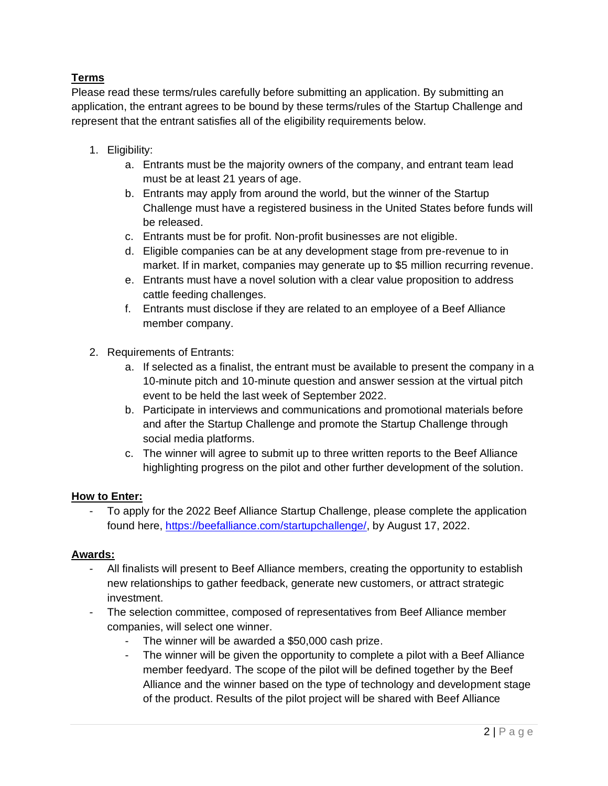## **Terms**

Please read these terms/rules carefully before submitting an application. By submitting an application, the entrant agrees to be bound by these terms/rules of the Startup Challenge and represent that the entrant satisfies all of the eligibility requirements below.

- 1. Eligibility:
	- a. Entrants must be the majority owners of the company, and entrant team lead must be at least 21 years of age.
	- b. Entrants may apply from around the world, but the winner of the Startup Challenge must have a registered business in the United States before funds will be released.
	- c. Entrants must be for profit. Non-profit businesses are not eligible.
	- d. Eligible companies can be at any development stage from pre-revenue to in market. If in market, companies may generate up to \$5 million recurring revenue.
	- e. Entrants must have a novel solution with a clear value proposition to address cattle feeding challenges.
	- f. Entrants must disclose if they are related to an employee of a Beef Alliance member company.
- 2. Requirements of Entrants:
	- a. If selected as a finalist, the entrant must be available to present the company in a 10-minute pitch and 10-minute question and answer session at the virtual pitch event to be held the last week of September 2022.
	- b. Participate in interviews and communications and promotional materials before and after the Startup Challenge and promote the Startup Challenge through social media platforms.
	- c. The winner will agree to submit up to three written reports to the Beef Alliance highlighting progress on the pilot and other further development of the solution.

### **How to Enter:**

To apply for the 2022 Beef Alliance Startup Challenge, please complete the application found here, [https://beefalliance.com/startupchallenge/,](https://beefalliance.com/startupchallenge/) by August 17, 2022.

### **Awards:**

- All finalists will present to Beef Alliance members, creating the opportunity to establish new relationships to gather feedback, generate new customers, or attract strategic investment.
- The selection committee, composed of representatives from Beef Alliance member companies, will select one winner.
	- The winner will be awarded a \$50,000 cash prize.
	- The winner will be given the opportunity to complete a pilot with a Beef Alliance member feedyard. The scope of the pilot will be defined together by the Beef Alliance and the winner based on the type of technology and development stage of the product. Results of the pilot project will be shared with Beef Alliance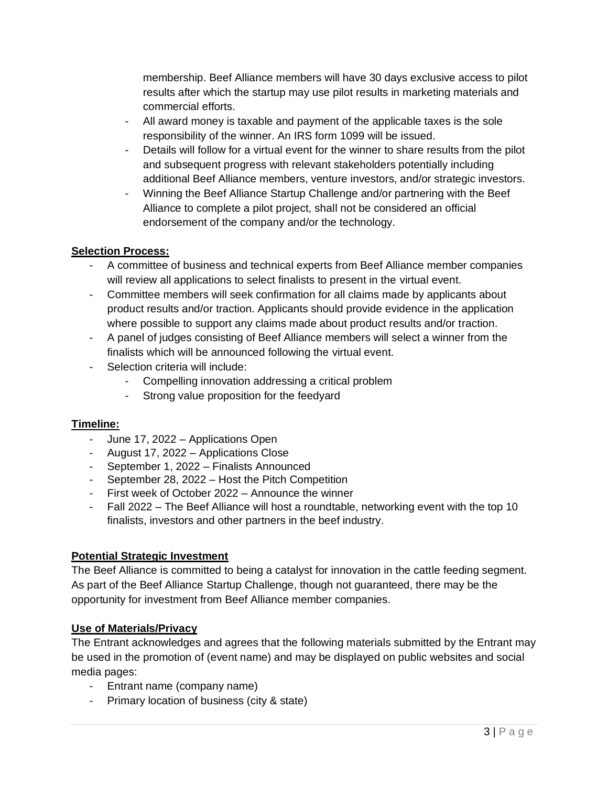membership. Beef Alliance members will have 30 days exclusive access to pilot results after which the startup may use pilot results in marketing materials and commercial efforts.

- All award money is taxable and payment of the applicable taxes is the sole responsibility of the winner. An IRS form 1099 will be issued.
- Details will follow for a virtual event for the winner to share results from the pilot and subsequent progress with relevant stakeholders potentially including additional Beef Alliance members, venture investors, and/or strategic investors.
- Winning the Beef Alliance Startup Challenge and/or partnering with the Beef Alliance to complete a pilot project, shall not be considered an official endorsement of the company and/or the technology.

## **Selection Process:**

- A committee of business and technical experts from Beef Alliance member companies will review all applications to select finalists to present in the virtual event.
- Committee members will seek confirmation for all claims made by applicants about product results and/or traction. Applicants should provide evidence in the application where possible to support any claims made about product results and/or traction.
- A panel of judges consisting of Beef Alliance members will select a winner from the finalists which will be announced following the virtual event.
- Selection criteria will include:
	- Compelling innovation addressing a critical problem
	- Strong value proposition for the feedyard

### **Timeline:**

- June 17, 2022 Applications Open
- August 17, 2022 Applications Close
- September 1, 2022 Finalists Announced
- September 28, 2022 Host the Pitch Competition
- First week of October 2022 Announce the winner
- Fall 2022 The Beef Alliance will host a roundtable, networking event with the top 10 finalists, investors and other partners in the beef industry.

### **Potential Strategic Investment**

The Beef Alliance is committed to being a catalyst for innovation in the cattle feeding segment. As part of the Beef Alliance Startup Challenge, though not guaranteed, there may be the opportunity for investment from Beef Alliance member companies.

### **Use of Materials/Privacy**

The Entrant acknowledges and agrees that the following materials submitted by the Entrant may be used in the promotion of (event name) and may be displayed on public websites and social media pages:

- Entrant name (company name)
- Primary location of business (city & state)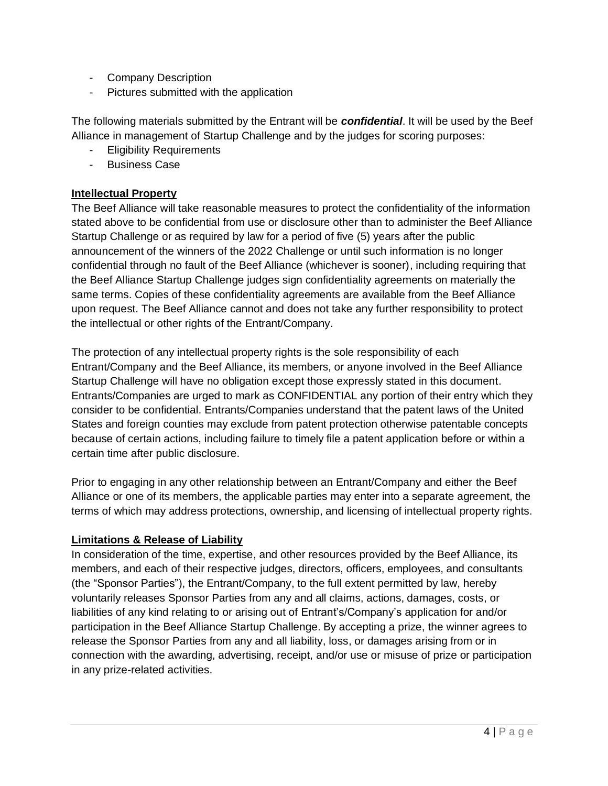- Company Description
- Pictures submitted with the application

The following materials submitted by the Entrant will be *confidential*. It will be used by the Beef Alliance in management of Startup Challenge and by the judges for scoring purposes:

- Eligibility Requirements
- Business Case

#### **Intellectual Property**

The Beef Alliance will take reasonable measures to protect the confidentiality of the information stated above to be confidential from use or disclosure other than to administer the Beef Alliance Startup Challenge or as required by law for a period of five (5) years after the public announcement of the winners of the 2022 Challenge or until such information is no longer confidential through no fault of the Beef Alliance (whichever is sooner), including requiring that the Beef Alliance Startup Challenge judges sign confidentiality agreements on materially the same terms. Copies of these confidentiality agreements are available from the Beef Alliance upon request. The Beef Alliance cannot and does not take any further responsibility to protect the intellectual or other rights of the Entrant/Company.

The protection of any intellectual property rights is the sole responsibility of each Entrant/Company and the Beef Alliance, its members, or anyone involved in the Beef Alliance Startup Challenge will have no obligation except those expressly stated in this document. Entrants/Companies are urged to mark as CONFIDENTIAL any portion of their entry which they consider to be confidential. Entrants/Companies understand that the patent laws of the United States and foreign counties may exclude from patent protection otherwise patentable concepts because of certain actions, including failure to timely file a patent application before or within a certain time after public disclosure.

Prior to engaging in any other relationship between an Entrant/Company and either the Beef Alliance or one of its members, the applicable parties may enter into a separate agreement, the terms of which may address protections, ownership, and licensing of intellectual property rights.

#### **Limitations & Release of Liability**

In consideration of the time, expertise, and other resources provided by the Beef Alliance, its members, and each of their respective judges, directors, officers, employees, and consultants (the "Sponsor Parties"), the Entrant/Company, to the full extent permitted by law, hereby voluntarily releases Sponsor Parties from any and all claims, actions, damages, costs, or liabilities of any kind relating to or arising out of Entrant's/Company's application for and/or participation in the Beef Alliance Startup Challenge. By accepting a prize, the winner agrees to release the Sponsor Parties from any and all liability, loss, or damages arising from or in connection with the awarding, advertising, receipt, and/or use or misuse of prize or participation in any prize-related activities.